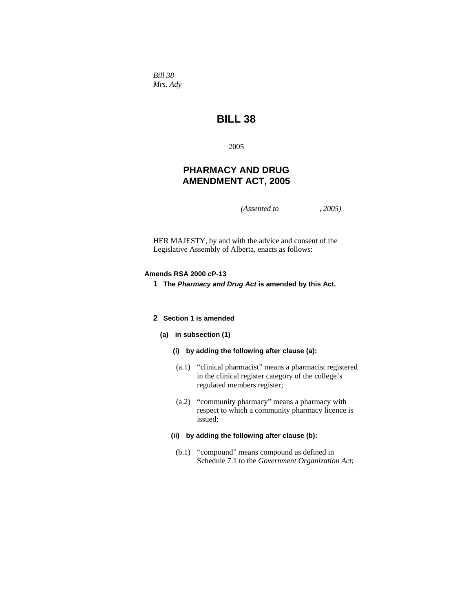*Bill 38 Mrs. Ady* 

# **BILL 38**

2005

# **PHARMACY AND DRUG AMENDMENT ACT, 2005**

*(Assented to , 2005)* 

HER MAJESTY, by and with the advice and consent of the Legislative Assembly of Alberta, enacts as follows:

### **Amends RSA 2000 cP-13**

**1 The** *Pharmacy and Drug Act* **is amended by this Act.** 

# **2 Section 1 is amended**

# **(a) in subsection (1)**

- **(i) by adding the following after clause (a):**
- (a.1) "clinical pharmacist" means a pharmacist registered in the clinical register category of the college's regulated members register;
- (a.2) "community pharmacy" means a pharmacy with respect to which a community pharmacy licence is issued;

#### **(ii) by adding the following after clause (b):**

 (b.1) "compound" means compound as defined in Schedule 7.1 to the *Government Organization Act*;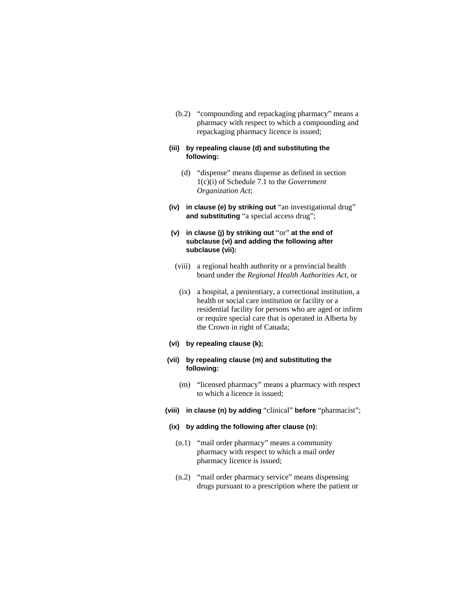(b.2) "compounding and repackaging pharmacy" means a pharmacy with respect to which a compounding and repackaging pharmacy licence is issued;

# **(iii) by repealing clause (d) and substituting the following:**

- (d) "dispense" means dispense as defined in section 1(c)(i) of Schedule 7.1 to the *Government Organization Act*;
- **(iv) in clause (e) by striking out** "an investigational drug" **and substituting** "a special access drug";

# **(v) in clause (j) by striking out** "or" **at the end of subclause (vi) and adding the following after subclause (vii):**

- (viii) a regional health authority or a provincial health board under the *Regional Health Authorities Act*, or
- (ix) a hospital, a penitentiary, a correctional institution, a health or social care institution or facility or a residential facility for persons who are aged or infirm or require special care that is operated in Alberta by the Crown in right of Canada;

### **(vi) by repealing clause (k);**

### **(vii) by repealing clause (m) and substituting the following:**

- (m) "licensed pharmacy" means a pharmacy with respect to which a licence is issued;
- **(viii) in clause (n) by adding** "clinical" **before** "pharmacist";

#### **(ix) by adding the following after clause (n):**

- (n.1) "mail order pharmacy" means a community pharmacy with respect to which a mail order pharmacy licence is issued;
- (n.2) "mail order pharmacy service" means dispensing drugs pursuant to a prescription where the patient or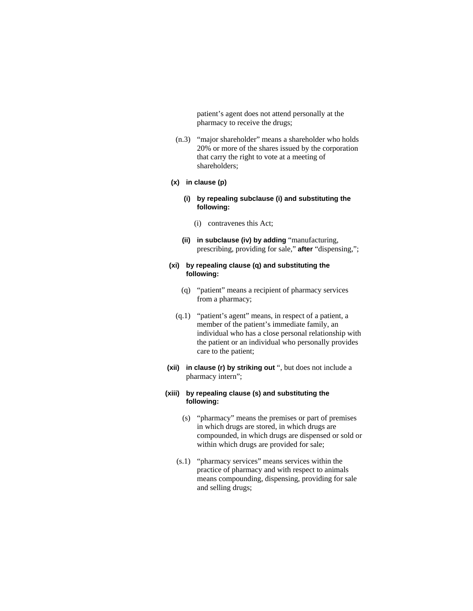patient's agent does not attend personally at the pharmacy to receive the drugs;

 (n.3) "major shareholder" means a shareholder who holds 20% or more of the shares issued by the corporation that carry the right to vote at a meeting of shareholders;

#### **(x) in clause (p)**

- **(i) by repealing subclause (i) and substituting the following:**
	- (i) contravenes this Act;
- **(ii) in subclause (iv) by adding** "manufacturing, prescribing, providing for sale," **after** "dispensing,";

# **(xi) by repealing clause (q) and substituting the following:**

- (q) "patient" means a recipient of pharmacy services from a pharmacy;
- (q.1) "patient's agent" means, in respect of a patient, a member of the patient's immediate family, an individual who has a close personal relationship with the patient or an individual who personally provides care to the patient;
- **(xii) in clause (r) by striking out** ", but does not include a pharmacy intern";

### **(xiii) by repealing clause (s) and substituting the following:**

- (s) "pharmacy" means the premises or part of premises in which drugs are stored, in which drugs are compounded, in which drugs are dispensed or sold or within which drugs are provided for sale;
- (s.1) "pharmacy services" means services within the practice of pharmacy and with respect to animals means compounding, dispensing, providing for sale and selling drugs;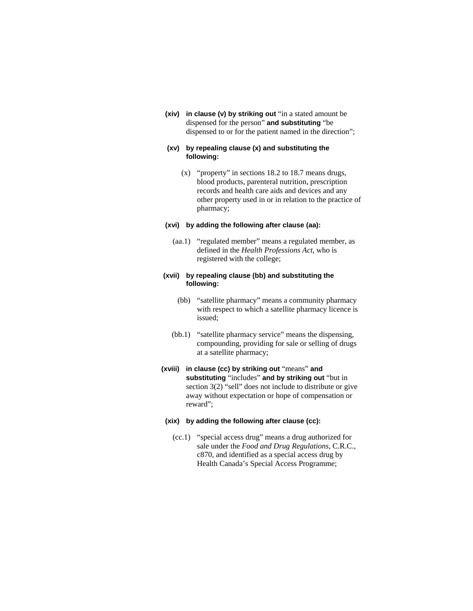**(xiv) in clause (v) by striking out** "in a stated amount be dispensed for the person" **and substituting** "be dispensed to or for the patient named in the direction";

### **(xv) by repealing clause (x) and substituting the following:**

 (x) "property" in sections 18.2 to 18.7 means drugs, blood products, parenteral nutrition, prescription records and health care aids and devices and any other property used in or in relation to the practice of pharmacy;

## **(xvi) by adding the following after clause (aa):**

 (aa.1) "regulated member" means a regulated member, as defined in the *Health Professions Act*, who is registered with the college;

# **(xvii) by repealing clause (bb) and substituting the following:**

- (bb) "satellite pharmacy" means a community pharmacy with respect to which a satellite pharmacy licence is issued;
- (bb.1) "satellite pharmacy service" means the dispensing, compounding, providing for sale or selling of drugs at a satellite pharmacy;
- **(xviii) in clause (cc) by striking out** "means" **and substituting** "includes" **and by striking out** "but in section 3(2) "sell" does not include to distribute or give away without expectation or hope of compensation or reward";

#### **(xix) by adding the following after clause (cc):**

 (cc.1) "special access drug" means a drug authorized for sale under the *Food and Drug Regulations*, C.R.C., c870, and identified as a special access drug by Health Canada's Special Access Programme;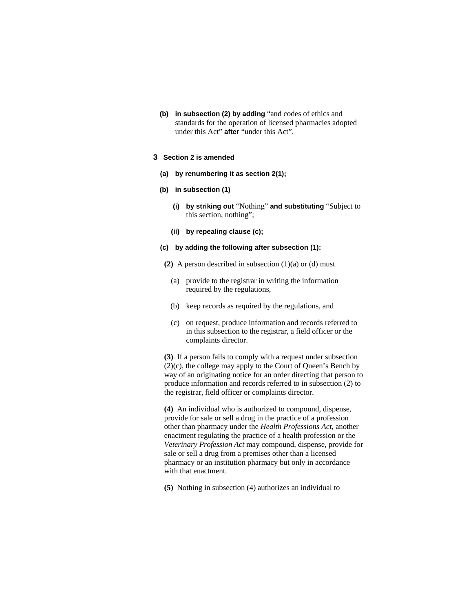**(b) in subsection (2) by adding** "and codes of ethics and standards for the operation of licensed pharmacies adopted under this Act" **after** "under this Act".

### **3 Section 2 is amended**

- **(a) by renumbering it as section 2(1);**
- **(b) in subsection (1)** 
	- **(i) by striking out** "Nothing" **and substituting** "Subject to this section, nothing";
	- **(ii) by repealing clause (c);**
- **(c) by adding the following after subsection (1):**
- **(2)** A person described in subsection (1)(a) or (d) must
	- (a) provide to the registrar in writing the information required by the regulations,
	- (b) keep records as required by the regulations, and
	- (c) on request, produce information and records referred to in this subsection to the registrar, a field officer or the complaints director.

**(3)** If a person fails to comply with a request under subsection (2)(c), the college may apply to the Court of Queen's Bench by way of an originating notice for an order directing that person to produce information and records referred to in subsection (2) to the registrar, field officer or complaints director.

**(4)** An individual who is authorized to compound, dispense, provide for sale or sell a drug in the practice of a profession other than pharmacy under the *Health Professions Act*, another enactment regulating the practice of a health profession or the *Veterinary Profession Act* may compound, dispense, provide for sale or sell a drug from a premises other than a licensed pharmacy or an institution pharmacy but only in accordance with that enactment.

**(5)** Nothing in subsection (4) authorizes an individual to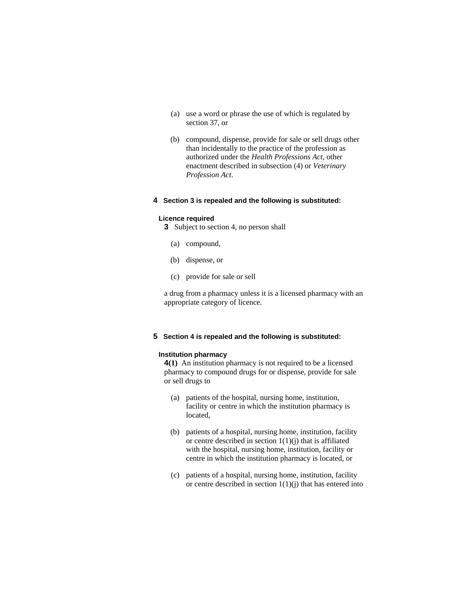- (a) use a word or phrase the use of which is regulated by section 37, or
- (b) compound, dispense, provide for sale or sell drugs other than incidentally to the practice of the profession as authorized under the *Health Professions Act*, other enactment described in subsection (4) or *Veterinary Profession Act*.

### **4 Section 3 is repealed and the following is substituted:**

#### **Licence required**

**3** Subject to section 4, no person shall

- (a) compound,
- (b) dispense, or
- (c) provide for sale or sell

a drug from a pharmacy unless it is a licensed pharmacy with an appropriate category of licence.

# **5 Section 4 is repealed and the following is substituted:**

#### **Institution pharmacy**

**4(1)** An institution pharmacy is not required to be a licensed pharmacy to compound drugs for or dispense, provide for sale or sell drugs to

- (a) patients of the hospital, nursing home, institution, facility or centre in which the institution pharmacy is located,
- (b) patients of a hospital, nursing home, institution, facility or centre described in section  $1(1)(j)$  that is affiliated with the hospital, nursing home, institution, facility or centre in which the institution pharmacy is located, or
- (c) patients of a hospital, nursing home, institution, facility or centre described in section  $1(1)(j)$  that has entered into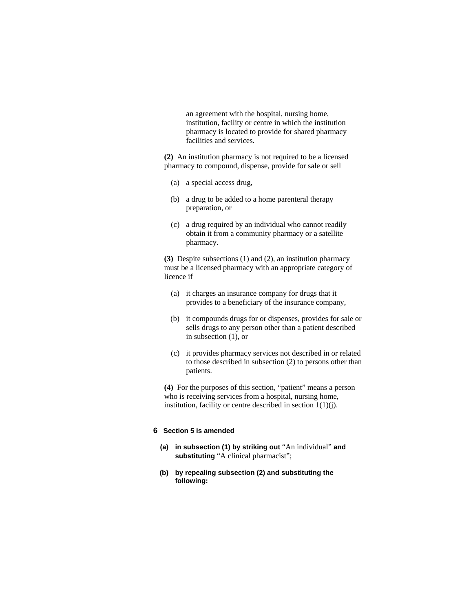an agreement with the hospital, nursing home, institution, facility or centre in which the institution pharmacy is located to provide for shared pharmacy facilities and services.

**(2)** An institution pharmacy is not required to be a licensed pharmacy to compound, dispense, provide for sale or sell

- (a) a special access drug,
- (b) a drug to be added to a home parenteral therapy preparation, or
- (c) a drug required by an individual who cannot readily obtain it from a community pharmacy or a satellite pharmacy.

**(3)** Despite subsections (1) and (2), an institution pharmacy must be a licensed pharmacy with an appropriate category of licence if

- (a) it charges an insurance company for drugs that it provides to a beneficiary of the insurance company,
- (b) it compounds drugs for or dispenses, provides for sale or sells drugs to any person other than a patient described in subsection (1), or
- (c) it provides pharmacy services not described in or related to those described in subsection (2) to persons other than patients.

**(4)** For the purposes of this section, "patient" means a person who is receiving services from a hospital, nursing home, institution, facility or centre described in section  $1(1)(i)$ .

# **6 Section 5 is amended**

- **(a) in subsection (1) by striking out** "An individual" **and substituting** "A clinical pharmacist";
- **(b) by repealing subsection (2) and substituting the following:**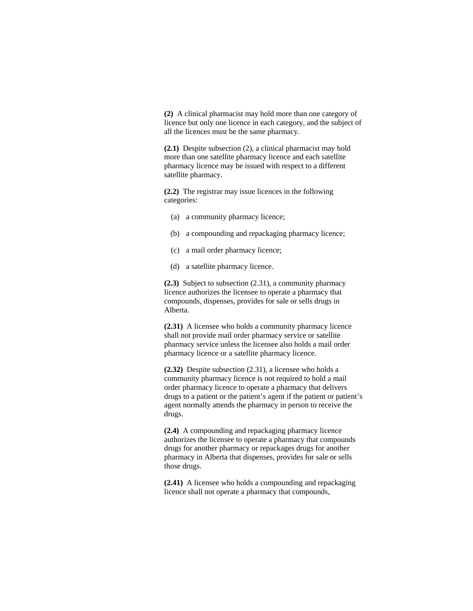**(2)** A clinical pharmacist may hold more than one category of licence but only one licence in each category, and the subject of all the licences must be the same pharmacy.

**(2.1)** Despite subsection (2), a clinical pharmacist may hold more than one satellite pharmacy licence and each satellite pharmacy licence may be issued with respect to a different satellite pharmacy.

**(2.2)** The registrar may issue licences in the following categories:

- (a) a community pharmacy licence;
- (b) a compounding and repackaging pharmacy licence;
- (c) a mail order pharmacy licence;
- (d) a satellite pharmacy licence.

**(2.3)** Subject to subsection (2.31), a community pharmacy licence authorizes the licensee to operate a pharmacy that compounds, dispenses, provides for sale or sells drugs in Alberta.

**(2.31)** A licensee who holds a community pharmacy licence shall not provide mail order pharmacy service or satellite pharmacy service unless the licensee also holds a mail order pharmacy licence or a satellite pharmacy licence.

**(2.32)** Despite subsection (2.31), a licensee who holds a community pharmacy licence is not required to hold a mail order pharmacy licence to operate a pharmacy that delivers drugs to a patient or the patient's agent if the patient or patient's agent normally attends the pharmacy in person to receive the drugs.

**(2.4)** A compounding and repackaging pharmacy licence authorizes the licensee to operate a pharmacy that compounds drugs for another pharmacy or repackages drugs for another pharmacy in Alberta that dispenses, provides for sale or sells those drugs.

**(2.41)** A licensee who holds a compounding and repackaging licence shall not operate a pharmacy that compounds,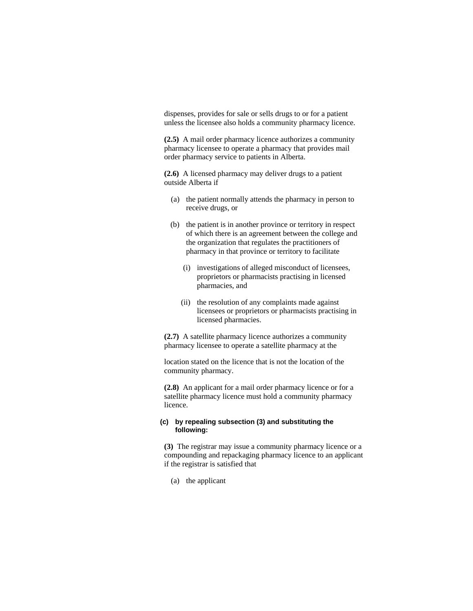dispenses, provides for sale or sells drugs to or for a patient unless the licensee also holds a community pharmacy licence.

**(2.5)** A mail order pharmacy licence authorizes a community pharmacy licensee to operate a pharmacy that provides mail order pharmacy service to patients in Alberta.

**(2.6)** A licensed pharmacy may deliver drugs to a patient outside Alberta if

- (a) the patient normally attends the pharmacy in person to receive drugs, or
- (b) the patient is in another province or territory in respect of which there is an agreement between the college and the organization that regulates the practitioners of pharmacy in that province or territory to facilitate
	- (i) investigations of alleged misconduct of licensees, proprietors or pharmacists practising in licensed pharmacies, and
	- (ii) the resolution of any complaints made against licensees or proprietors or pharmacists practising in licensed pharmacies.

**(2.7)** A satellite pharmacy licence authorizes a community pharmacy licensee to operate a satellite pharmacy at the

location stated on the licence that is not the location of the community pharmacy.

**(2.8)** An applicant for a mail order pharmacy licence or for a satellite pharmacy licence must hold a community pharmacy licence.

### **(c) by repealing subsection (3) and substituting the following:**

**(3)** The registrar may issue a community pharmacy licence or a compounding and repackaging pharmacy licence to an applicant if the registrar is satisfied that

(a) the applicant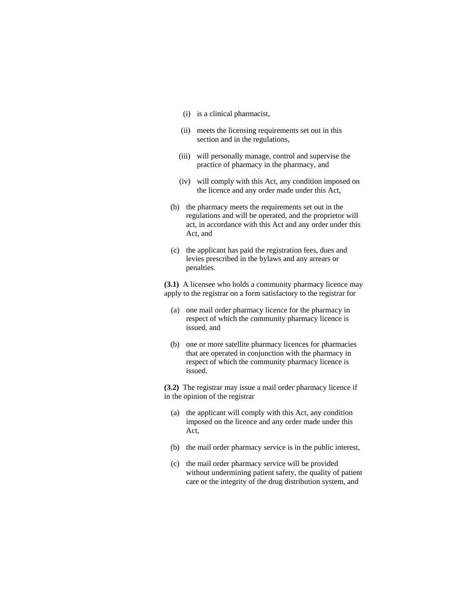- (i) is a clinical pharmacist,
- (ii) meets the licensing requirements set out in this section and in the regulations,
- (iii) will personally manage, control and supervise the practice of pharmacy in the pharmacy, and
- (iv) will comply with this Act, any condition imposed on the licence and any order made under this Act,
- (b) the pharmacy meets the requirements set out in the regulations and will be operated, and the proprietor will act, in accordance with this Act and any order under this Act, and
- (c) the applicant has paid the registration fees, dues and levies prescribed in the bylaws and any arrears or penalties.

**(3.1)** A licensee who holds a community pharmacy licence may apply to the registrar on a form satisfactory to the registrar for

- (a) one mail order pharmacy licence for the pharmacy in respect of which the community pharmacy licence is issued, and
- (b) one or more satellite pharmacy licences for pharmacies that are operated in conjunction with the pharmacy in respect of which the community pharmacy licence is issued.

**(3.2)** The registrar may issue a mail order pharmacy licence if in the opinion of the registrar

- (a) the applicant will comply with this Act, any condition imposed on the licence and any order made under this Act,
- (b) the mail order pharmacy service is in the public interest,
- (c) the mail order pharmacy service will be provided without undermining patient safety, the quality of patient care or the integrity of the drug distribution system, and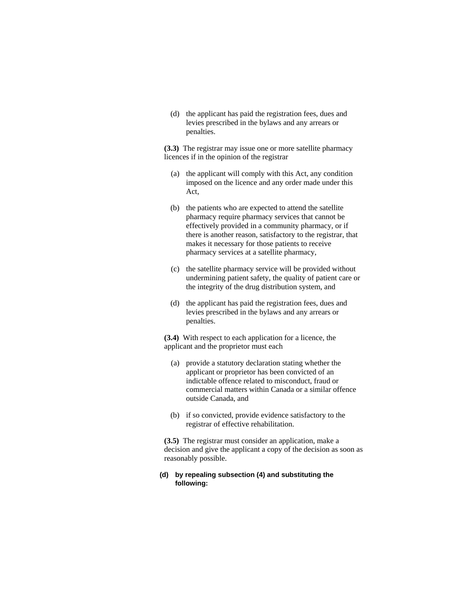(d) the applicant has paid the registration fees, dues and levies prescribed in the bylaws and any arrears or penalties.

**(3.3)** The registrar may issue one or more satellite pharmacy licences if in the opinion of the registrar

- (a) the applicant will comply with this Act, any condition imposed on the licence and any order made under this Act,
- (b) the patients who are expected to attend the satellite pharmacy require pharmacy services that cannot be effectively provided in a community pharmacy, or if there is another reason, satisfactory to the registrar, that makes it necessary for those patients to receive pharmacy services at a satellite pharmacy,
- (c) the satellite pharmacy service will be provided without undermining patient safety, the quality of patient care or the integrity of the drug distribution system, and
- (d) the applicant has paid the registration fees, dues and levies prescribed in the bylaws and any arrears or penalties.

**(3.4)** With respect to each application for a licence, the applicant and the proprietor must each

- (a) provide a statutory declaration stating whether the applicant or proprietor has been convicted of an indictable offence related to misconduct, fraud or commercial matters within Canada or a similar offence outside Canada, and
- (b) if so convicted, provide evidence satisfactory to the registrar of effective rehabilitation.

**(3.5)** The registrar must consider an application, make a decision and give the applicant a copy of the decision as soon as reasonably possible.

# **(d) by repealing subsection (4) and substituting the following:**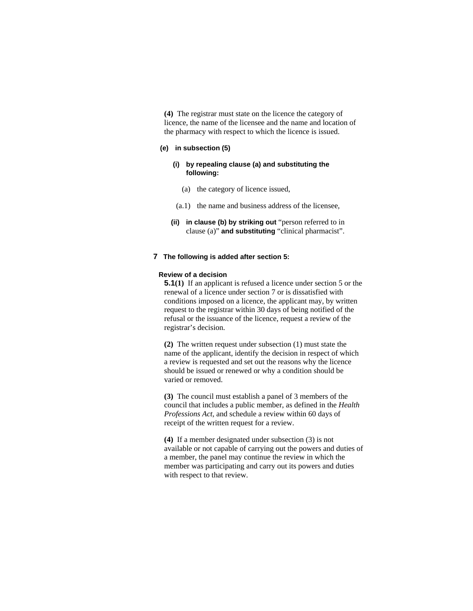**(4)** The registrar must state on the licence the category of licence, the name of the licensee and the name and location of the pharmacy with respect to which the licence is issued.

# **(e) in subsection (5)**

# **(i) by repealing clause (a) and substituting the following:**

- (a) the category of licence issued,
- (a.1) the name and business address of the licensee,
- **(ii) in clause (b) by striking out** "person referred to in clause (a)" **and substituting** "clinical pharmacist".

#### **7 The following is added after section 5:**

#### **Review of a decision**

**5.1(1)** If an applicant is refused a licence under section 5 or the renewal of a licence under section 7 or is dissatisfied with conditions imposed on a licence, the applicant may, by written request to the registrar within 30 days of being notified of the refusal or the issuance of the licence, request a review of the registrar's decision.

**(2)** The written request under subsection (1) must state the name of the applicant, identify the decision in respect of which a review is requested and set out the reasons why the licence should be issued or renewed or why a condition should be varied or removed.

**(3)** The council must establish a panel of 3 members of the council that includes a public member, as defined in the *Health Professions Act*, and schedule a review within 60 days of receipt of the written request for a review.

**(4)** If a member designated under subsection (3) is not available or not capable of carrying out the powers and duties of a member, the panel may continue the review in which the member was participating and carry out its powers and duties with respect to that review.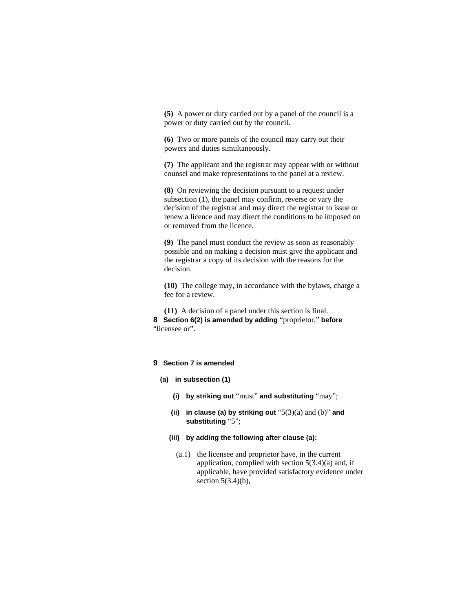**(5)** A power or duty carried out by a panel of the council is a power or duty carried out by the council.

**(6)** Two or more panels of the council may carry out their powers and duties simultaneously.

**(7)** The applicant and the registrar may appear with or without counsel and make representations to the panel at a review.

**(8)** On reviewing the decision pursuant to a request under subsection (1), the panel may confirm, reverse or vary the decision of the registrar and may direct the registrar to issue or renew a licence and may direct the conditions to be imposed on or removed from the licence.

**(9)** The panel must conduct the review as soon as reasonably possible and on making a decision must give the applicant and the registrar a copy of its decision with the reasons for the decision.

**(10)** The college may, in accordance with the bylaws, charge a fee for a review.

**(11)** A decision of a panel under this section is final. **8 Section 6(2) is amended by adding** "proprietor," **before**  "licensee or".

### **9 Section 7 is amended**

- **(a) in subsection (1)** 
	- **(i) by striking out** "must" **and substituting** "may";
	- **(ii) in clause (a) by striking out** "5(3)(a) and (b)" **and substituting** "5";
	- **(iii) by adding the following after clause (a):**
		- (a.1) the licensee and proprietor have, in the current application, complied with section  $5(3.4)(a)$  and, if applicable, have provided satisfactory evidence under section  $5(3.4)(b)$ ,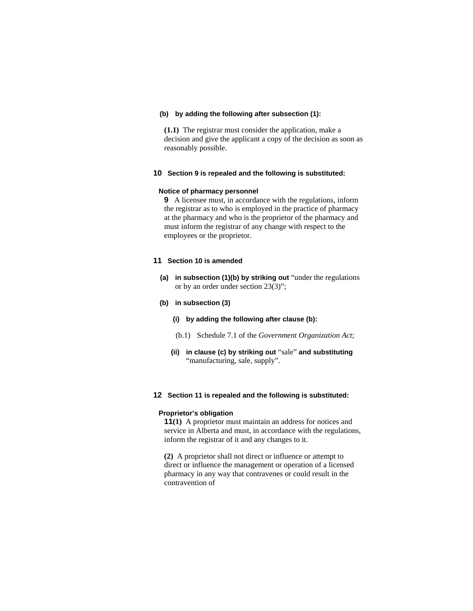### **(b) by adding the following after subsection (1):**

**(1.1)** The registrar must consider the application, make a decision and give the applicant a copy of the decision as soon as reasonably possible.

# **10 Section 9 is repealed and the following is substituted:**

#### **Notice of pharmacy personnel**

**9** A licensee must, in accordance with the regulations, inform the registrar as to who is employed in the practice of pharmacy at the pharmacy and who is the proprietor of the pharmacy and must inform the registrar of any change with respect to the employees or the proprietor.

### **11 Section 10 is amended**

**(a) in subsection (1)(b) by striking out** "under the regulations or by an order under section 23(3)";

#### **(b) in subsection (3)**

- **(i) by adding the following after clause (b):**
- (b.1) Schedule 7.1 of the *Government Organization Act*;
- **(ii) in clause (c) by striking out** "sale" **and substituting**  "manufacturing, sale, supply".

### **12 Section 11 is repealed and the following is substituted:**

#### **Proprietor's obligation**

**11(1)** A proprietor must maintain an address for notices and service in Alberta and must, in accordance with the regulations, inform the registrar of it and any changes to it.

**(2)** A proprietor shall not direct or influence or attempt to direct or influence the management or operation of a licensed pharmacy in any way that contravenes or could result in the contravention of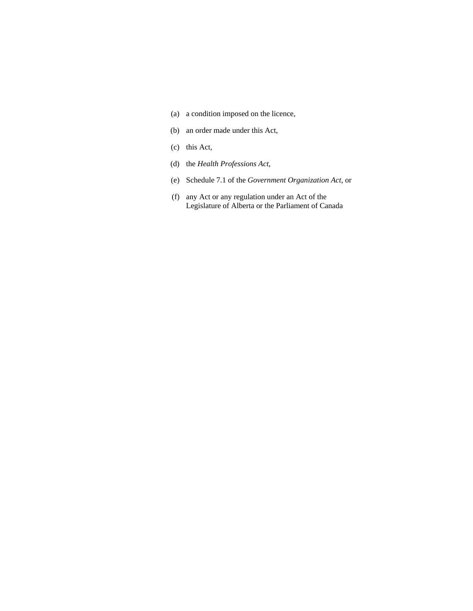- (a) a condition imposed on the licence,
- (b) an order made under this Act,
- (c) this Act,
- (d) the *Health Professions Act*,
- (e) Schedule 7.1 of the *Government Organization Act*, or
- (f) any Act or any regulation under an Act of the Legislature of Alberta or the Parliament of Canada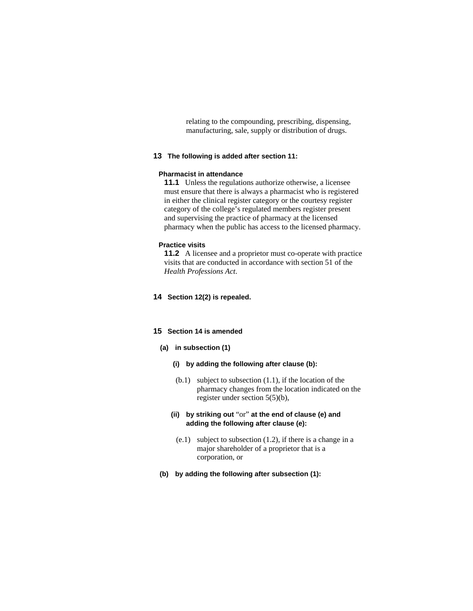relating to the compounding, prescribing, dispensing, manufacturing, sale, supply or distribution of drugs.

#### **13 The following is added after section 11:**

### **Pharmacist in attendance**

**11.1** Unless the regulations authorize otherwise, a licensee must ensure that there is always a pharmacist who is registered in either the clinical register category or the courtesy register category of the college's regulated members register present and supervising the practice of pharmacy at the licensed pharmacy when the public has access to the licensed pharmacy.

#### **Practice visits**

**11.2** A licensee and a proprietor must co-operate with practice visits that are conducted in accordance with section 51 of the *Health Professions Act*.

# **14 Section 12(2) is repealed.**

# **15 Section 14 is amended**

### **(a) in subsection (1)**

- **(i) by adding the following after clause (b):**
- $(b.1)$  subject to subsection  $(1.1)$ , if the location of the pharmacy changes from the location indicated on the register under section 5(5)(b),
- **(ii) by striking out** "or" **at the end of clause (e) and adding the following after clause (e):**
- (e.1) subject to subsection (1.2), if there is a change in a major shareholder of a proprietor that is a corporation, or
- **(b) by adding the following after subsection (1):**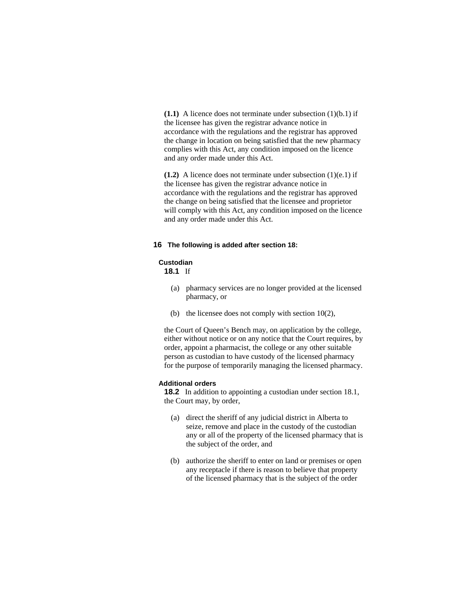**(1.1)** A licence does not terminate under subsection (1)(b.1) if the licensee has given the registrar advance notice in accordance with the regulations and the registrar has approved the change in location on being satisfied that the new pharmacy complies with this Act, any condition imposed on the licence and any order made under this Act.

**(1.2)** A licence does not terminate under subsection (1)(e.1) if the licensee has given the registrar advance notice in accordance with the regulations and the registrar has approved the change on being satisfied that the licensee and proprietor will comply with this Act, any condition imposed on the licence and any order made under this Act.

#### **16 The following is added after section 18:**

#### **Custodian**

**18.1** If

- (a) pharmacy services are no longer provided at the licensed pharmacy, or
- (b) the licensee does not comply with section 10(2),

the Court of Queen's Bench may, on application by the college, either without notice or on any notice that the Court requires, by order, appoint a pharmacist, the college or any other suitable person as custodian to have custody of the licensed pharmacy for the purpose of temporarily managing the licensed pharmacy.

### **Additional orders**

**18.2** In addition to appointing a custodian under section 18.1, the Court may, by order,

- (a) direct the sheriff of any judicial district in Alberta to seize, remove and place in the custody of the custodian any or all of the property of the licensed pharmacy that is the subject of the order, and
- (b) authorize the sheriff to enter on land or premises or open any receptacle if there is reason to believe that property of the licensed pharmacy that is the subject of the order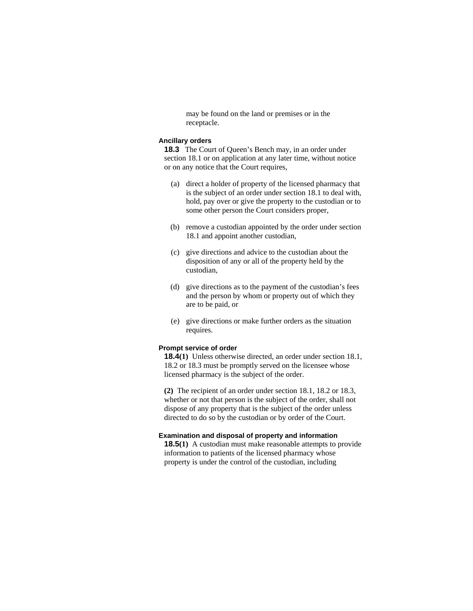may be found on the land or premises or in the receptacle.

### **Ancillary orders**

**18.3** The Court of Queen's Bench may, in an order under section 18.1 or on application at any later time, without notice or on any notice that the Court requires,

- (a) direct a holder of property of the licensed pharmacy that is the subject of an order under section 18.1 to deal with, hold, pay over or give the property to the custodian or to some other person the Court considers proper,
- (b) remove a custodian appointed by the order under section 18.1 and appoint another custodian,
- (c) give directions and advice to the custodian about the disposition of any or all of the property held by the custodian,
- (d) give directions as to the payment of the custodian's fees and the person by whom or property out of which they are to be paid, or
- (e) give directions or make further orders as the situation requires.

#### **Prompt service of order**

**18.4(1)** Unless otherwise directed, an order under section 18.1, 18.2 or 18.3 must be promptly served on the licensee whose licensed pharmacy is the subject of the order.

**(2)** The recipient of an order under section 18.1, 18.2 or 18.3, whether or not that person is the subject of the order, shall not dispose of any property that is the subject of the order unless directed to do so by the custodian or by order of the Court.

#### **Examination and disposal of property and information**

**18.5(1)** A custodian must make reasonable attempts to provide information to patients of the licensed pharmacy whose property is under the control of the custodian, including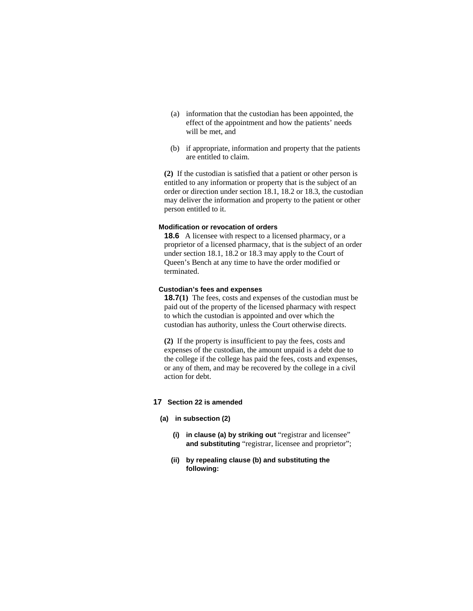- (a) information that the custodian has been appointed, the effect of the appointment and how the patients' needs will be met, and
- (b) if appropriate, information and property that the patients are entitled to claim.

**(2)** If the custodian is satisfied that a patient or other person is entitled to any information or property that is the subject of an order or direction under section 18.1, 18.2 or 18.3, the custodian may deliver the information and property to the patient or other person entitled to it.

#### **Modification or revocation of orders**

**18.6** A licensee with respect to a licensed pharmacy, or a proprietor of a licensed pharmacy, that is the subject of an order under section 18.1, 18.2 or 18.3 may apply to the Court of Queen's Bench at any time to have the order modified or terminated.

### **Custodian's fees and expenses**

**18.7(1)** The fees, costs and expenses of the custodian must be paid out of the property of the licensed pharmacy with respect to which the custodian is appointed and over which the custodian has authority, unless the Court otherwise directs.

**(2)** If the property is insufficient to pay the fees, costs and expenses of the custodian, the amount unpaid is a debt due to the college if the college has paid the fees, costs and expenses, or any of them, and may be recovered by the college in a civil action for debt.

# **17 Section 22 is amended**

#### **(a) in subsection (2)**

- **(i) in clause (a) by striking out** "registrar and licensee" **and substituting** "registrar, licensee and proprietor";
- **(ii) by repealing clause (b) and substituting the following:**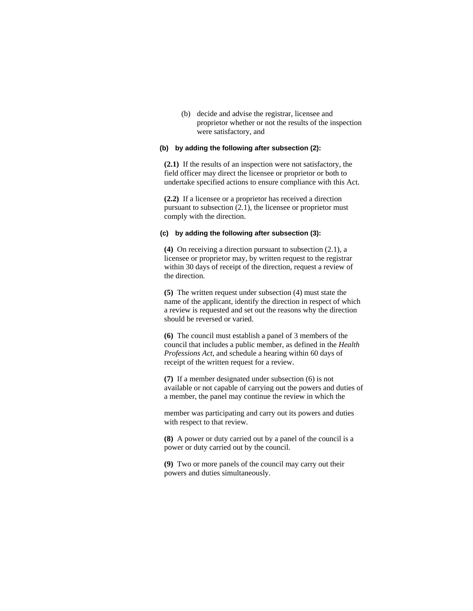(b) decide and advise the registrar, licensee and proprietor whether or not the results of the inspection were satisfactory, and

# **(b) by adding the following after subsection (2):**

**(2.1)** If the results of an inspection were not satisfactory, the field officer may direct the licensee or proprietor or both to undertake specified actions to ensure compliance with this Act.

**(2.2)** If a licensee or a proprietor has received a direction pursuant to subsection (2.1), the licensee or proprietor must comply with the direction.

# **(c) by adding the following after subsection (3):**

**(4)** On receiving a direction pursuant to subsection (2.1), a licensee or proprietor may, by written request to the registrar within 30 days of receipt of the direction, request a review of the direction.

**(5)** The written request under subsection (4) must state the name of the applicant, identify the direction in respect of which a review is requested and set out the reasons why the direction should be reversed or varied.

**(6)** The council must establish a panel of 3 members of the council that includes a public member, as defined in the *Health Professions Act*, and schedule a hearing within 60 days of receipt of the written request for a review.

**(7)** If a member designated under subsection (6) is not available or not capable of carrying out the powers and duties of a member, the panel may continue the review in which the

member was participating and carry out its powers and duties with respect to that review.

**(8)** A power or duty carried out by a panel of the council is a power or duty carried out by the council.

**(9)** Two or more panels of the council may carry out their powers and duties simultaneously.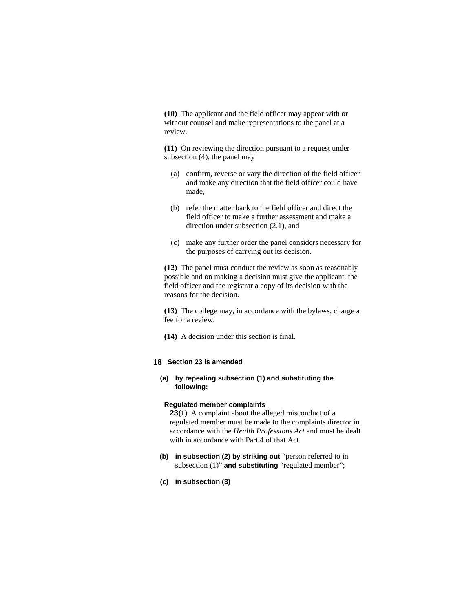**(10)** The applicant and the field officer may appear with or without counsel and make representations to the panel at a review.

**(11)** On reviewing the direction pursuant to a request under subsection (4), the panel may

- (a) confirm, reverse or vary the direction of the field officer and make any direction that the field officer could have made,
- (b) refer the matter back to the field officer and direct the field officer to make a further assessment and make a direction under subsection (2.1), and
- (c) make any further order the panel considers necessary for the purposes of carrying out its decision.

**(12)** The panel must conduct the review as soon as reasonably possible and on making a decision must give the applicant, the field officer and the registrar a copy of its decision with the reasons for the decision.

**(13)** The college may, in accordance with the bylaws, charge a fee for a review.

**(14)** A decision under this section is final.

# **18 Section 23 is amended**

# **(a) by repealing subsection (1) and substituting the following:**

#### **Regulated member complaints**

**23(1)** A complaint about the alleged misconduct of a regulated member must be made to the complaints director in accordance with the *Health Professions Act* and must be dealt with in accordance with Part 4 of that Act.

- **(b) in subsection (2) by striking out** "person referred to in subsection (1)" and substituting "regulated member";
- **(c) in subsection (3)**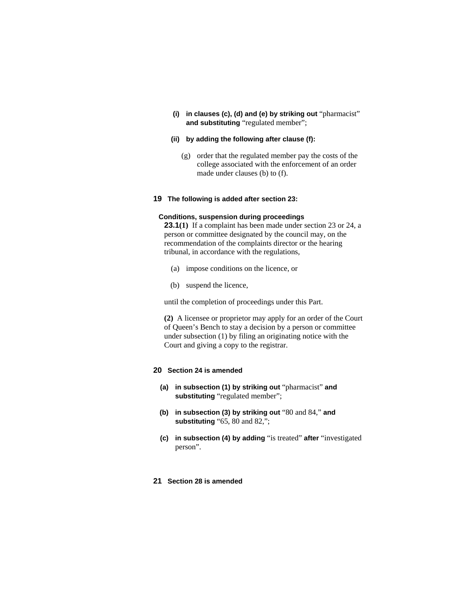**(i) in clauses (c), (d) and (e) by striking out** "pharmacist" **and substituting** "regulated member";

### **(ii) by adding the following after clause (f):**

 (g) order that the regulated member pay the costs of the college associated with the enforcement of an order made under clauses (b) to (f).

### **19 The following is added after section 23:**

### **Conditions, suspension during proceedings**

**23.1(1)** If a complaint has been made under section 23 or 24, a person or committee designated by the council may, on the recommendation of the complaints director or the hearing tribunal, in accordance with the regulations,

- (a) impose conditions on the licence, or
- (b) suspend the licence,

until the completion of proceedings under this Part.

**(2)** A licensee or proprietor may apply for an order of the Court of Queen's Bench to stay a decision by a person or committee under subsection (1) by filing an originating notice with the Court and giving a copy to the registrar.

### **20 Section 24 is amended**

- **(a) in subsection (1) by striking out** "pharmacist" **and substituting** "regulated member";
- **(b) in subsection (3) by striking out** "80 and 84," **and substituting** "65, 80 and 82,";
- **(c) in subsection (4) by adding** "is treated" **after** "investigated person".

### **21 Section 28 is amended**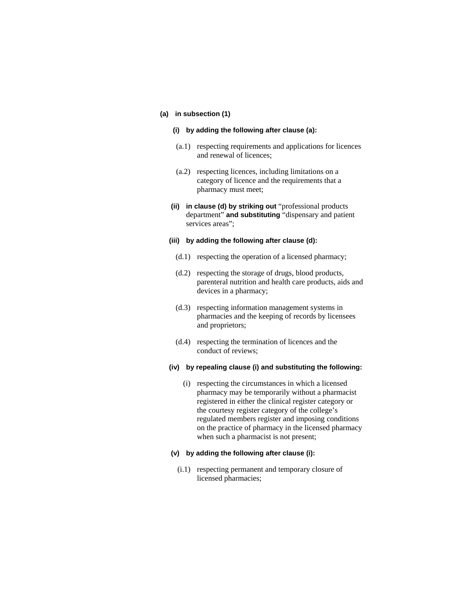#### **(a) in subsection (1)**

#### **(i) by adding the following after clause (a):**

- (a.1) respecting requirements and applications for licences and renewal of licences;
- (a.2) respecting licences, including limitations on a category of licence and the requirements that a pharmacy must meet;
- **(ii) in clause (d) by striking out** "professional products department" **and substituting** "dispensary and patient services areas";

#### **(iii) by adding the following after clause (d):**

- (d.1) respecting the operation of a licensed pharmacy;
- (d.2) respecting the storage of drugs, blood products, parenteral nutrition and health care products, aids and devices in a pharmacy;
- (d.3) respecting information management systems in pharmacies and the keeping of records by licensees and proprietors;
- (d.4) respecting the termination of licences and the conduct of reviews;

# **(iv) by repealing clause (i) and substituting the following:**

 (i) respecting the circumstances in which a licensed pharmacy may be temporarily without a pharmacist registered in either the clinical register category or the courtesy register category of the college's regulated members register and imposing conditions on the practice of pharmacy in the licensed pharmacy when such a pharmacist is not present;

# **(v) by adding the following after clause (i):**

 (i.1) respecting permanent and temporary closure of licensed pharmacies;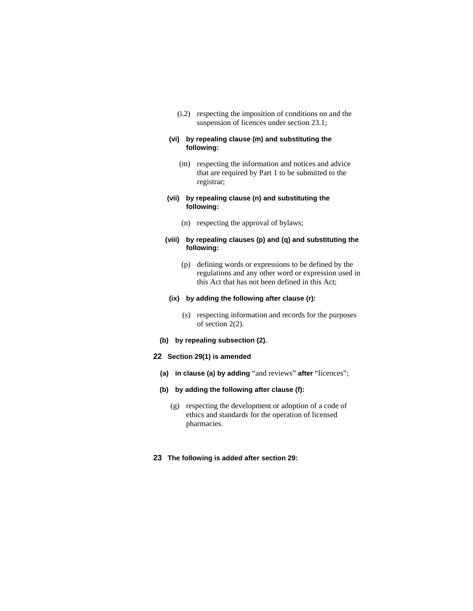(i.2) respecting the imposition of conditions on and the suspension of licences under section 23.1;

## **(vi) by repealing clause (m) and substituting the following:**

 (m) respecting the information and notices and advice that are required by Part 1 to be submitted to the registrar;

### **(vii) by repealing clause (n) and substituting the following:**

(n) respecting the approval of bylaws;

# **(viii) by repealing clauses (p) and (q) and substituting the following:**

 (p) defining words or expressions to be defined by the regulations and any other word or expression used in this Act that has not been defined in this Act;

# **(ix) by adding the following after clause (r):**

- (s) respecting information and records for the purposes of section 2(2).
- **(b) by repealing subsection (2).**

# **22 Section 29(1) is amended**

- **(a) in clause (a) by adding** "and reviews" **after** "licences";
- **(b) by adding the following after clause (f):**
	- (g) respecting the development or adoption of a code of ethics and standards for the operation of licensed pharmacies.
- **23 The following is added after section 29:**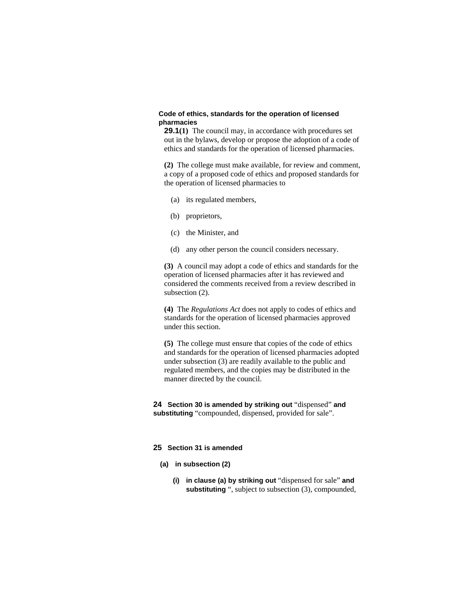### **Code of ethics, standards for the operation of licensed pharmacies**

**29.1(1)** The council may, in accordance with procedures set out in the bylaws, develop or propose the adoption of a code of ethics and standards for the operation of licensed pharmacies.

**(2)** The college must make available, for review and comment, a copy of a proposed code of ethics and proposed standards for the operation of licensed pharmacies to

- (a) its regulated members,
- (b) proprietors,
- (c) the Minister, and
- (d) any other person the council considers necessary.

**(3)** A council may adopt a code of ethics and standards for the operation of licensed pharmacies after it has reviewed and considered the comments received from a review described in subsection (2).

**(4)** The *Regulations Act* does not apply to codes of ethics and standards for the operation of licensed pharmacies approved under this section.

**(5)** The college must ensure that copies of the code of ethics and standards for the operation of licensed pharmacies adopted under subsection (3) are readily available to the public and regulated members, and the copies may be distributed in the manner directed by the council.

**24 Section 30 is amended by striking out** "dispensed" **and substituting** "compounded, dispensed, provided for sale".

#### **25 Section 31 is amended**

- **(a) in subsection (2)** 
	- **(i) in clause (a) by striking out** "dispensed for sale" **and substituting** ", subject to subsection (3), compounded,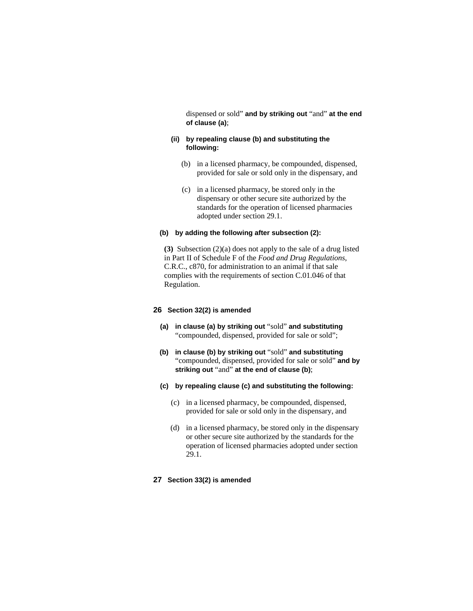dispensed or sold" **and by striking out** "and" **at the end of clause (a)**;

# **(ii) by repealing clause (b) and substituting the following:**

- (b) in a licensed pharmacy, be compounded, dispensed, provided for sale or sold only in the dispensary, and
- (c) in a licensed pharmacy, be stored only in the dispensary or other secure site authorized by the standards for the operation of licensed pharmacies adopted under section 29.1.

### **(b) by adding the following after subsection (2):**

**(3)** Subsection (2)(a) does not apply to the sale of a drug listed in Part II of Schedule F of the *Food and Drug Regulations*, C.R.C., c870, for administration to an animal if that sale complies with the requirements of section C.01.046 of that Regulation.

# **26 Section 32(2) is amended**

- **(a) in clause (a) by striking out** "sold" **and substituting**  "compounded, dispensed, provided for sale or sold";
- **(b) in clause (b) by striking out** "sold" **and substituting**  "compounded, dispensed, provided for sale or sold" **and by striking out** "and" **at the end of clause (b)**;
- **(c) by repealing clause (c) and substituting the following:**
	- (c) in a licensed pharmacy, be compounded, dispensed, provided for sale or sold only in the dispensary, and
	- (d) in a licensed pharmacy, be stored only in the dispensary or other secure site authorized by the standards for the operation of licensed pharmacies adopted under section 29.1.
- **27 Section 33(2) is amended**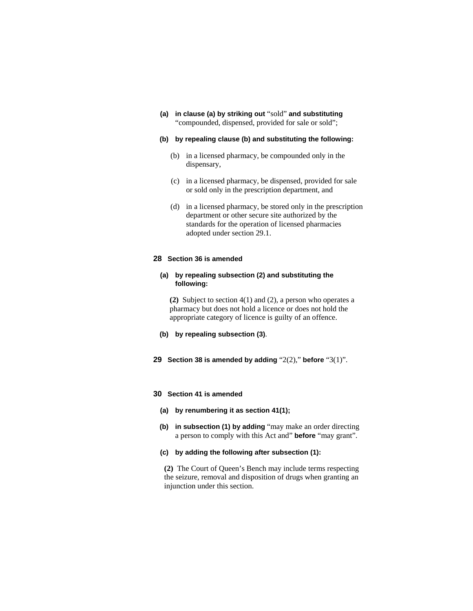**(a) in clause (a) by striking out** "sold" **and substituting**  "compounded, dispensed, provided for sale or sold";

### **(b) by repealing clause (b) and substituting the following:**

- (b) in a licensed pharmacy, be compounded only in the dispensary,
- (c) in a licensed pharmacy, be dispensed, provided for sale or sold only in the prescription department, and
- (d) in a licensed pharmacy, be stored only in the prescription department or other secure site authorized by the standards for the operation of licensed pharmacies adopted under section 29.1.

#### **28 Section 36 is amended**

### **(a) by repealing subsection (2) and substituting the following:**

**(2)** Subject to section 4(1) and (2), a person who operates a pharmacy but does not hold a licence or does not hold the appropriate category of licence is guilty of an offence.

- **(b) by repealing subsection (3)**.
- **29 Section 38 is amended by adding** "2(2)," **before** "3(1)".

### **30 Section 41 is amended**

- **(a) by renumbering it as section 41(1);**
- **(b) in subsection (1) by adding** "may make an order directing a person to comply with this Act and" **before** "may grant".

#### **(c) by adding the following after subsection (1):**

**(2)** The Court of Queen's Bench may include terms respecting the seizure, removal and disposition of drugs when granting an injunction under this section.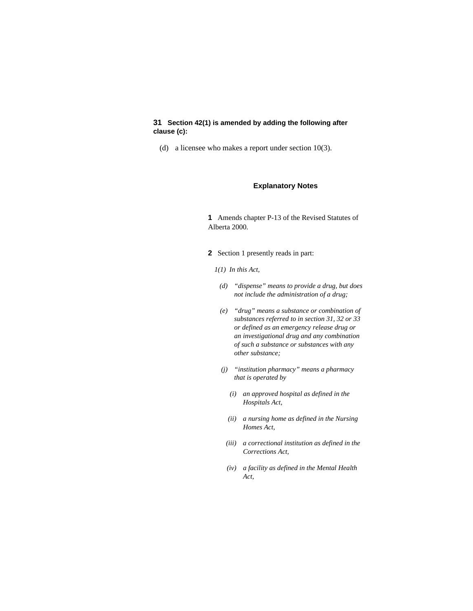# **31 Section 42(1) is amended by adding the following after clause (c):**

(d) a licensee who makes a report under section 10(3).

#### **Explanatory Notes**

**1** Amends chapter P-13 of the Revised Statutes of Alberta 2000.

- **2** Section 1 presently reads in part:
	- *1(1) In this Act,* 
		- *(d) "dispense" means to provide a drug, but does not include the administration of a drug;*
		- *(e) "drug" means a substance or combination of substances referred to in section 31, 32 or 33 or defined as an emergency release drug or an investigational drug and any combination of such a substance or substances with any other substance;*
		- *(j) "institution pharmacy" means a pharmacy that is operated by* 
			- *(i) an approved hospital as defined in the Hospitals Act,*
			- *(ii) a nursing home as defined in the Nursing Homes Act,*
		- *(iii) a correctional institution as defined in the Corrections Act,*
		- *(iv) a facility as defined in the Mental Health Act,*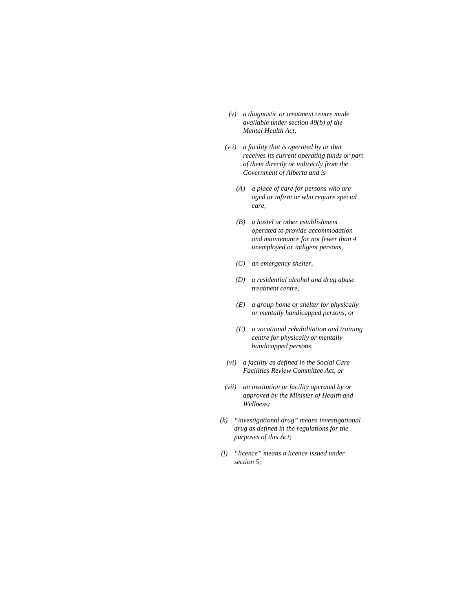- *(v) a diagnostic or treatment centre made available under section 49(b) of the Mental Health Act,*
- *(v.i) a facility that is operated by or that receives its current operating funds or part of them directly or indirectly from the Government of Alberta and is* 
	- *(A) a place of care for persons who are aged or infirm or who require special care,*
	- *(B) a hostel or other establishment operated to provide accommodation and maintenance for not fewer than 4 unemployed or indigent persons,*
	- *(C) an emergency shelter,*
	- *(D) a residential alcohol and drug abuse treatment centre,*
	- *(E) a group home or shelter for physically or mentally handicapped persons, or*
	- *(F) a vocational rehabilitation and training centre for physically or mentally handicapped persons,*
- *(vi) a facility as defined in the Social Care Facilities Review Committee Act, or*
- *(vii) an institution or facility operated by or approved by the Minister of Health and Wellness;*
- *(k) "investigational drug" means investigational drug as defined in the regulations for the purposes of this Act;*
- *(l) "licence" means a licence issued under section 5;*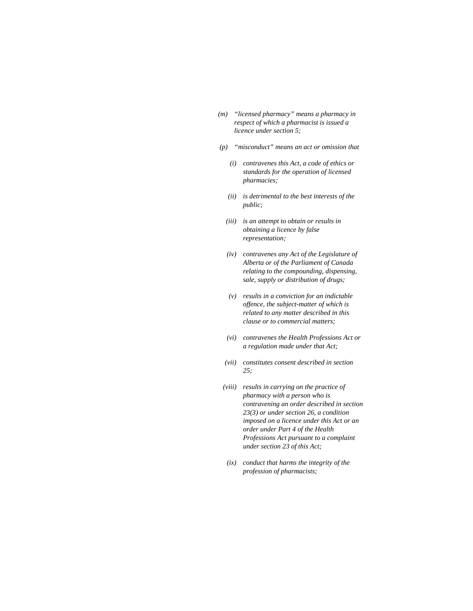- *(m) "licensed pharmacy" means a pharmacy in respect of which a pharmacist is issued a licence under section 5;*
- *(p) "misconduct" means an act or omission that* 
	- *(i) contravenes this Act, a code of ethics or standards for the operation of licensed pharmacies;*
	- *(ii) is detrimental to the best interests of the public;*
	- *(iii) is an attempt to obtain or results in obtaining a licence by false representation;*
	- *(iv) contravenes any Act of the Legislature of Alberta or of the Parliament of Canada relating to the compounding, dispensing, sale, supply or distribution of drugs;*
	- *(v) results in a conviction for an indictable offence, the subject-matter of which is related to any matter described in this clause or to commercial matters;*
	- *(vi) contravenes the Health Professions Act or a regulation made under that Act;*
	- *(vii) constitutes consent described in section 25;*
- *(viii) results in carrying on the practice of pharmacy with a person who is contravening an order described in section 23(3) or under section 26, a condition imposed on a licence under this Act or an order under Part 4 of the Health Professions Act pursuant to a complaint under section 23 of this Act;*
- *(ix) conduct that harms the integrity of the profession of pharmacists;*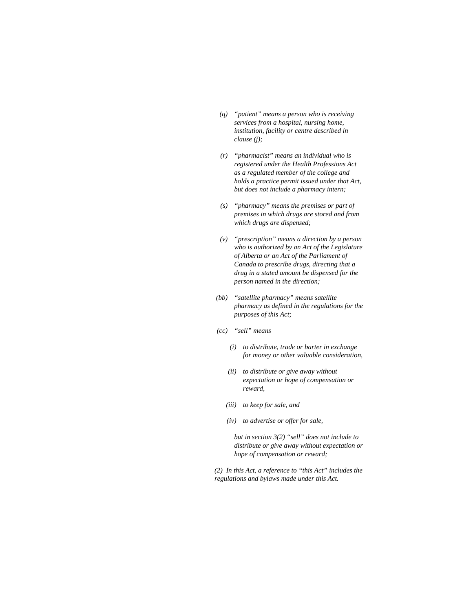- *(q) "patient" means a person who is receiving services from a hospital, nursing home, institution, facility or centre described in clause (j);*
- *(r) "pharmacist" means an individual who is registered under the Health Professions Act as a regulated member of the college and holds a practice permit issued under that Act, but does not include a pharmacy intern;*
- *(s) "pharmacy" means the premises or part of premises in which drugs are stored and from which drugs are dispensed;*
- *(v) "prescription" means a direction by a person who is authorized by an Act of the Legislature of Alberta or an Act of the Parliament of Canada to prescribe drugs, directing that a drug in a stated amount be dispensed for the person named in the direction;*
- *(bb) "satellite pharmacy" means satellite pharmacy as defined in the regulations for the purposes of this Act;*
- *(cc) "sell" means* 
	- *(i) to distribute, trade or barter in exchange for money or other valuable consideration,*
	- *(ii) to distribute or give away without expectation or hope of compensation or reward,*
	- *(iii) to keep for sale, and*
	- *(iv) to advertise or offer for sale,*

 *but in section 3(2) "sell" does not include to distribute or give away without expectation or hope of compensation or reward;* 

*(2) In this Act, a reference to "this Act" includes the regulations and bylaws made under this Act.*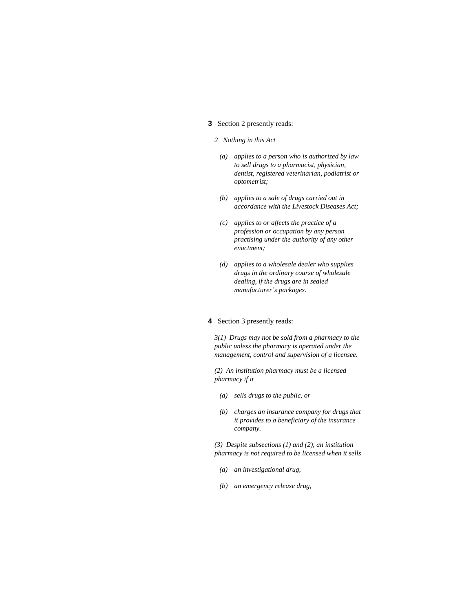# **3** Section 2 presently reads:

#### *2 Nothing in this Act*

- *(a) applies to a person who is authorized by law to sell drugs to a pharmacist, physician, dentist, registered veterinarian, podiatrist or optometrist;*
- *(b) applies to a sale of drugs carried out in accordance with the Livestock Diseases Act;*
- *(c) applies to or affects the practice of a profession or occupation by any person practising under the authority of any other enactment;*
- *(d) applies to a wholesale dealer who supplies drugs in the ordinary course of wholesale dealing, if the drugs are in sealed manufacturer's packages.*

# **4** Section 3 presently reads:

*3(1) Drugs may not be sold from a pharmacy to the public unless the pharmacy is operated under the management, control and supervision of a licensee.* 

*(2) An institution pharmacy must be a licensed pharmacy if it* 

- *(a) sells drugs to the public, or*
- *(b) charges an insurance company for drugs that it provides to a beneficiary of the insurance company.*

*(3) Despite subsections (1) and (2), an institution pharmacy is not required to be licensed when it sells* 

- *(a) an investigational drug,*
- *(b) an emergency release drug,*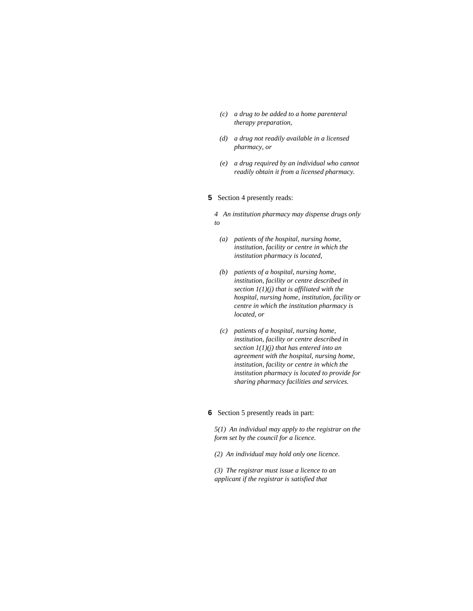- *(c) a drug to be added to a home parenteral therapy preparation,*
- *(d) a drug not readily available in a licensed pharmacy, or*
- *(e) a drug required by an individual who cannot readily obtain it from a licensed pharmacy.*

#### **5** Section 4 presently reads:

*4 An institution pharmacy may dispense drugs only to* 

- *(a) patients of the hospital, nursing home, institution, facility or centre in which the institution pharmacy is located,*
- *(b) patients of a hospital, nursing home, institution, facility or centre described in section 1(1)(j) that is affiliated with the hospital, nursing home, institution, facility or centre in which the institution pharmacy is located, or*
- *(c) patients of a hospital, nursing home, institution, facility or centre described in section 1(1)(j) that has entered into an agreement with the hospital, nursing home, institution, facility or centre in which the institution pharmacy is located to provide for sharing pharmacy facilities and services.*

### **6** Section 5 presently reads in part:

*5(1) An individual may apply to the registrar on the form set by the council for a licence.* 

*(2) An individual may hold only one licence.* 

*(3) The registrar must issue a licence to an applicant if the registrar is satisfied that*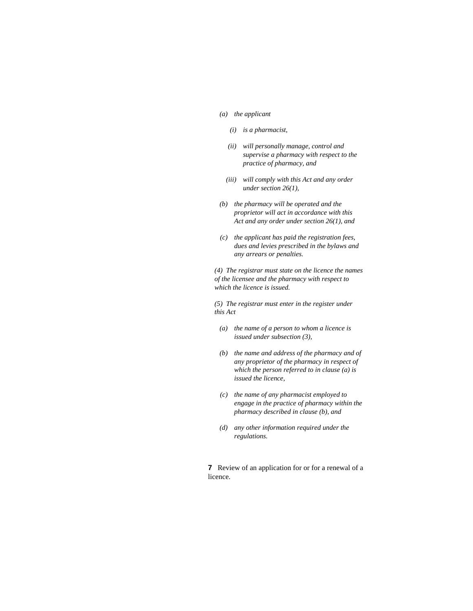#### *(a) the applicant*

- *(i) is a pharmacist,*
- *(ii) will personally manage, control and supervise a pharmacy with respect to the practice of pharmacy, and*
- *(iii) will comply with this Act and any order under section 26(1),*
- *(b) the pharmacy will be operated and the proprietor will act in accordance with this Act and any order under section 26(1), and*
- *(c) the applicant has paid the registration fees, dues and levies prescribed in the bylaws and any arrears or penalties.*

*(4) The registrar must state on the licence the names of the licensee and the pharmacy with respect to which the licence is issued.* 

*(5) The registrar must enter in the register under this Act* 

- *(a) the name of a person to whom a licence is issued under subsection (3),*
- *(b) the name and address of the pharmacy and of any proprietor of the pharmacy in respect of which the person referred to in clause (a) is issued the licence,*
- *(c) the name of any pharmacist employed to engage in the practice of pharmacy within the pharmacy described in clause (b), and*
- *(d) any other information required under the regulations.*

**7** Review of an application for or for a renewal of a licence.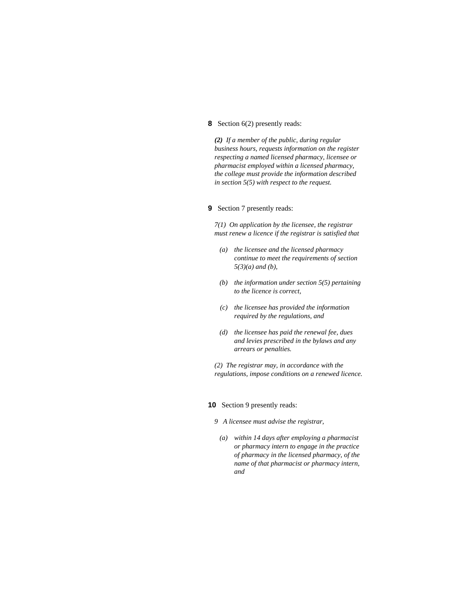# **8** Section 6(2) presently reads:

*(2) If a member of the public, during regular business hours, requests information on the register respecting a named licensed pharmacy, licensee or pharmacist employed within a licensed pharmacy, the college must provide the information described in section 5(5) with respect to the request.* 

### **9** Section 7 presently reads:

*7(1) On application by the licensee, the registrar must renew a licence if the registrar is satisfied that* 

- *(a) the licensee and the licensed pharmacy continue to meet the requirements of section 5(3)(a) and (b),*
- *(b) the information under section 5(5) pertaining to the licence is correct,*
- *(c) the licensee has provided the information required by the regulations, and*
- *(d) the licensee has paid the renewal fee, dues and levies prescribed in the bylaws and any arrears or penalties.*

*(2) The registrar may, in accordance with the regulations, impose conditions on a renewed licence.* 

#### **10** Section 9 presently reads:

- *9 A licensee must advise the registrar,*
- *(a) within 14 days after employing a pharmacist or pharmacy intern to engage in the practice of pharmacy in the licensed pharmacy, of the name of that pharmacist or pharmacy intern, and*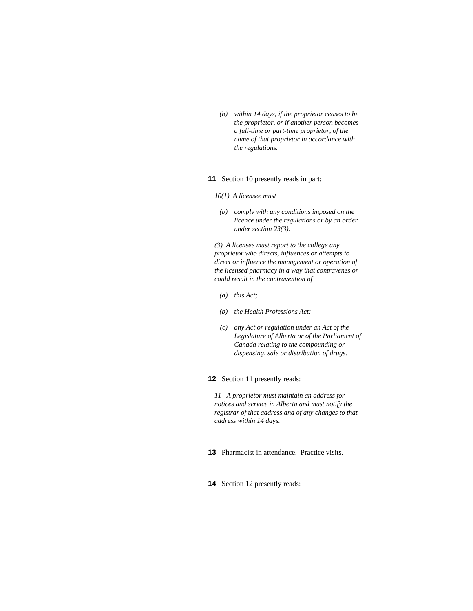*(b) within 14 days, if the proprietor ceases to be the proprietor, or if another person becomes a full-time or part-time proprietor, of the name of that proprietor in accordance with the regulations.* 

#### **11** Section 10 presently reads in part:

- *10(1) A licensee must* 
	- *(b) comply with any conditions imposed on the licence under the regulations or by an order under section 23(3).*

*(3) A licensee must report to the college any proprietor who directs, influences or attempts to direct or influence the management or operation of the licensed pharmacy in a way that contravenes or could result in the contravention of* 

- *(a) this Act;*
- *(b) the Health Professions Act;*
- *(c) any Act or regulation under an Act of the Legislature of Alberta or of the Parliament of Canada relating to the compounding or dispensing, sale or distribution of drugs.*

### **12** Section 11 presently reads:

*11 A proprietor must maintain an address for notices and service in Alberta and must notify the registrar of that address and of any changes to that address within 14 days.* 

- **13** Pharmacist in attendance. Practice visits.
- **14** Section 12 presently reads: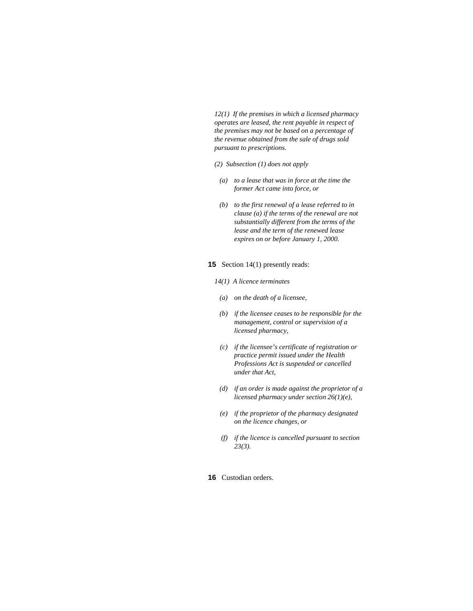*12(1) If the premises in which a licensed pharmacy operates are leased, the rent payable in respect of the premises may not be based on a percentage of the revenue obtained from the sale of drugs sold pursuant to prescriptions.* 

- *(2) Subsection (1) does not apply*
- *(a) to a lease that was in force at the time the former Act came into force, or*
- *(b) to the first renewal of a lease referred to in clause (a) if the terms of the renewal are not substantially different from the terms of the lease and the term of the renewed lease expires on or before January 1, 2000.*

#### **15** Section 14(1) presently reads:

- *14(1) A licence terminates*
- *(a) on the death of a licensee,*
- *(b) if the licensee ceases to be responsible for the management, control or supervision of a licensed pharmacy,*
- *(c) if the licensee's certificate of registration or practice permit issued under the Health Professions Act is suspended or cancelled under that Act,*
- *(d) if an order is made against the proprietor of a licensed pharmacy under section 26(1)(e),*
- *(e) if the proprietor of the pharmacy designated on the licence changes, or*
- *(f) if the licence is cancelled pursuant to section 23(3).*
- **16** Custodian orders.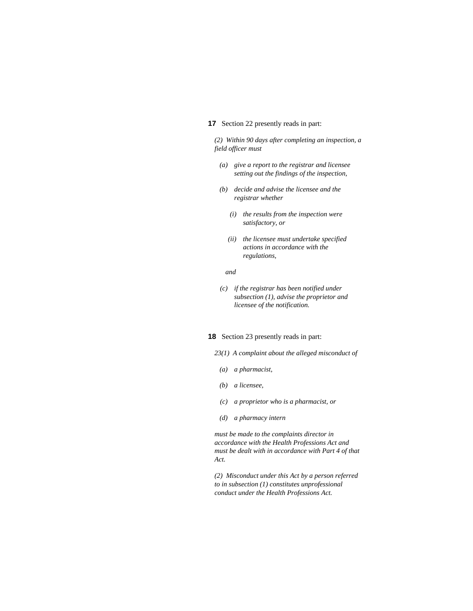### **17** Section 22 presently reads in part:

*(2) Within 90 days after completing an inspection, a field officer must* 

- *(a) give a report to the registrar and licensee setting out the findings of the inspection,*
- *(b) decide and advise the licensee and the registrar whether* 
	- *(i) the results from the inspection were satisfactory, or*
	- *(ii) the licensee must undertake specified actions in accordance with the regulations,*

#### *and*

 *(c) if the registrar has been notified under subsection (1), advise the proprietor and licensee of the notification.* 

#### **18** Section 23 presently reads in part:

- *23(1) A complaint about the alleged misconduct of*
- *(a) a pharmacist,*
- *(b) a licensee,*
- *(c) a proprietor who is a pharmacist, or*
- *(d) a pharmacy intern*

*must be made to the complaints director in accordance with the Health Professions Act and must be dealt with in accordance with Part 4 of that Act.* 

*(2) Misconduct under this Act by a person referred to in subsection (1) constitutes unprofessional conduct under the Health Professions Act.*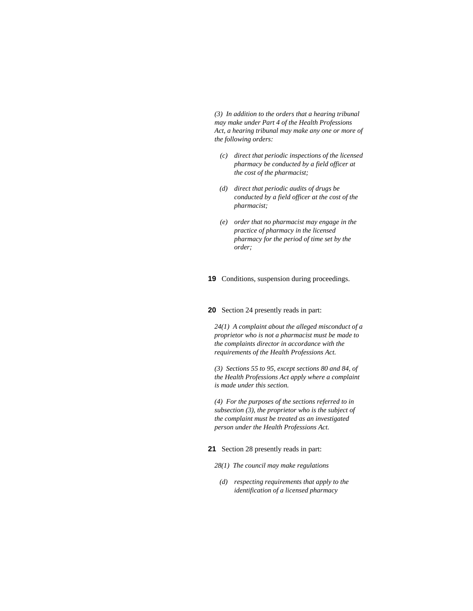*(3) In addition to the orders that a hearing tribunal may make under Part 4 of the Health Professions Act, a hearing tribunal may make any one or more of the following orders:* 

- *(c) direct that periodic inspections of the licensed pharmacy be conducted by a field officer at the cost of the pharmacist;*
- *(d) direct that periodic audits of drugs be conducted by a field officer at the cost of the pharmacist;*
- *(e) order that no pharmacist may engage in the practice of pharmacy in the licensed pharmacy for the period of time set by the order;*

#### **19** Conditions, suspension during proceedings.

**20** Section 24 presently reads in part:

*24(1) A complaint about the alleged misconduct of a proprietor who is not a pharmacist must be made to the complaints director in accordance with the requirements of the Health Professions Act.* 

*(3) Sections 55 to 95, except sections 80 and 84, of the Health Professions Act apply where a complaint is made under this section.* 

*(4) For the purposes of the sections referred to in subsection (3), the proprietor who is the subject of the complaint must be treated as an investigated person under the Health Professions Act.* 

**21** Section 28 presently reads in part:

- *28(1) The council may make regulations*
- *(d) respecting requirements that apply to the identification of a licensed pharmacy*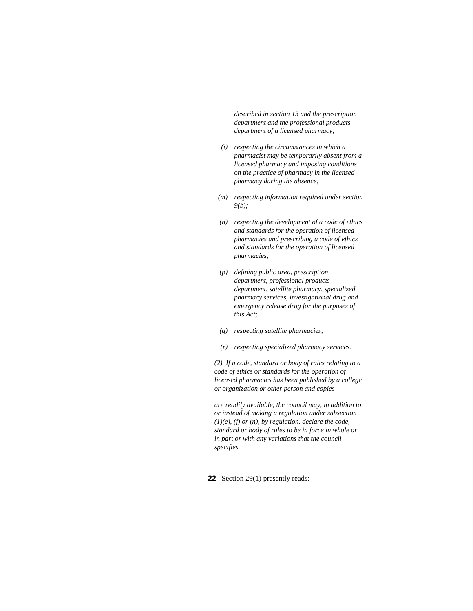*described in section 13 and the prescription department and the professional products department of a licensed pharmacy;* 

- *(i) respecting the circumstances in which a pharmacist may be temporarily absent from a licensed pharmacy and imposing conditions on the practice of pharmacy in the licensed pharmacy during the absence;*
- *(m) respecting information required under section 9(b);*
- *(n) respecting the development of a code of ethics and standards for the operation of licensed pharmacies and prescribing a code of ethics and standards for the operation of licensed pharmacies;*
- *(p) defining public area, prescription department, professional products department, satellite pharmacy, specialized pharmacy services, investigational drug and emergency release drug for the purposes of this Act;*
- *(q) respecting satellite pharmacies;*
- *(r) respecting specialized pharmacy services.*

*(2) If a code, standard or body of rules relating to a code of ethics or standards for the operation of licensed pharmacies has been published by a college or organization or other person and copies* 

*are readily available, the council may, in addition to or instead of making a regulation under subsection (1)(e), (f) or (n), by regulation, declare the code, standard or body of rules to be in force in whole or in part or with any variations that the council specifies.* 

**22** Section 29(1) presently reads: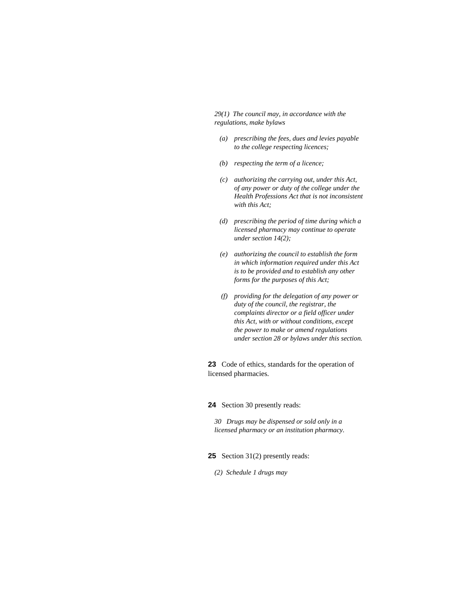*29(1) The council may, in accordance with the regulations, make bylaws* 

- *(a) prescribing the fees, dues and levies payable to the college respecting licences;*
- *(b) respecting the term of a licence;*
- *(c) authorizing the carrying out, under this Act, of any power or duty of the college under the Health Professions Act that is not inconsistent with this Act;*
- *(d) prescribing the period of time during which a licensed pharmacy may continue to operate under section 14(2);*
- *(e) authorizing the council to establish the form in which information required under this Act is to be provided and to establish any other forms for the purposes of this Act;*
- *(f) providing for the delegation of any power or duty of the council, the registrar, the complaints director or a field officer under this Act, with or without conditions, except the power to make or amend regulations under section 28 or bylaws under this section.*

**23** Code of ethics, standards for the operation of licensed pharmacies.

**24** Section 30 presently reads:

*30 Drugs may be dispensed or sold only in a licensed pharmacy or an institution pharmacy.* 

- **25** Section 31(2) presently reads:
	- *(2) Schedule 1 drugs may*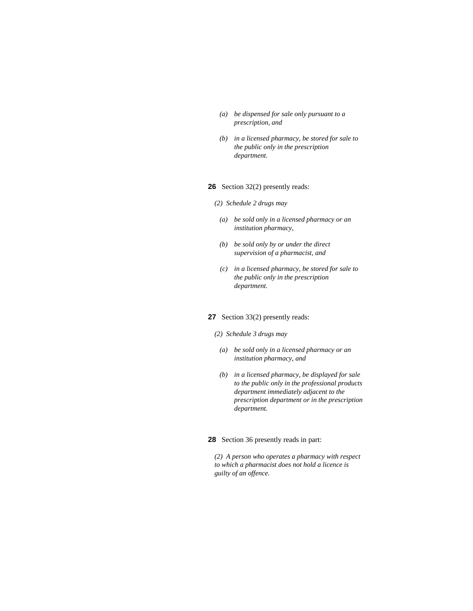- *(a) be dispensed for sale only pursuant to a prescription, and*
- *(b) in a licensed pharmacy, be stored for sale to the public only in the prescription department.*

### **26** Section 32(2) presently reads:

#### *(2) Schedule 2 drugs may*

- *(a) be sold only in a licensed pharmacy or an institution pharmacy,*
- *(b) be sold only by or under the direct supervision of a pharmacist, and*
- *(c) in a licensed pharmacy, be stored for sale to the public only in the prescription department.*

### **27** Section 33(2) presently reads:

### *(2) Schedule 3 drugs may*

- *(a) be sold only in a licensed pharmacy or an institution pharmacy, and*
- *(b) in a licensed pharmacy, be displayed for sale to the public only in the professional products department immediately adjacent to the prescription department or in the prescription department.*

### **28** Section 36 presently reads in part:

*(2) A person who operates a pharmacy with respect to which a pharmacist does not hold a licence is guilty of an offence.*